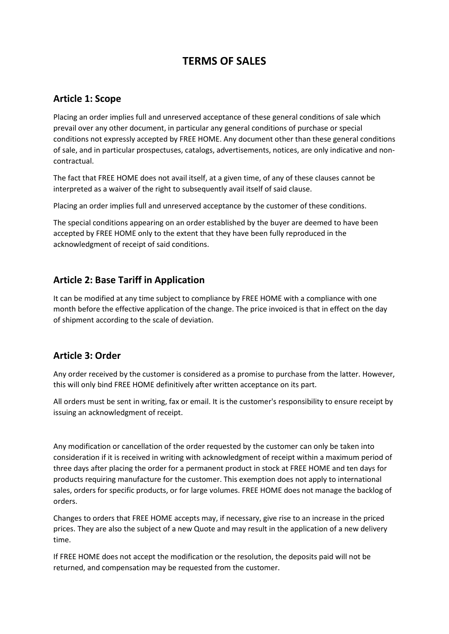# **TERMS OF SALES**

#### **Article 1: Scope**

Placing an order implies full and unreserved acceptance of these general conditions of sale which prevail over any other document, in particular any general conditions of purchase or special conditions not expressly accepted by FREE HOME. Any document other than these general conditions of sale, and in particular prospectuses, catalogs, advertisements, notices, are only indicative and noncontractual.

The fact that FREE HOME does not avail itself, at a given time, of any of these clauses cannot be interpreted as a waiver of the right to subsequently avail itself of said clause.

Placing an order implies full and unreserved acceptance by the customer of these conditions.

The special conditions appearing on an order established by the buyer are deemed to have been accepted by FREE HOME only to the extent that they have been fully reproduced in the acknowledgment of receipt of said conditions.

### **Article 2: Base Tariff in Application**

It can be modified at any time subject to compliance by FREE HOME with a compliance with one month before the effective application of the change. The price invoiced is that in effect on the day of shipment according to the scale of deviation.

# **Article 3: Order**

Any order received by the customer is considered as a promise to purchase from the latter. However, this will only bind FREE HOME definitively after written acceptance on its part.

All orders must be sent in writing, fax or email. It is the customer's responsibility to ensure receipt by issuing an acknowledgment of receipt.

Any modification or cancellation of the order requested by the customer can only be taken into consideration if it is received in writing with acknowledgment of receipt within a maximum period of three days after placing the order for a permanent product in stock at FREE HOME and ten days for products requiring manufacture for the customer. This exemption does not apply to international sales, orders for specific products, or for large volumes. FREE HOME does not manage the backlog of orders.

Changes to orders that FREE HOME accepts may, if necessary, give rise to an increase in the priced prices. They are also the subject of a new Quote and may result in the application of a new delivery time.

If FREE HOME does not accept the modification or the resolution, the deposits paid will not be returned, and compensation may be requested from the customer.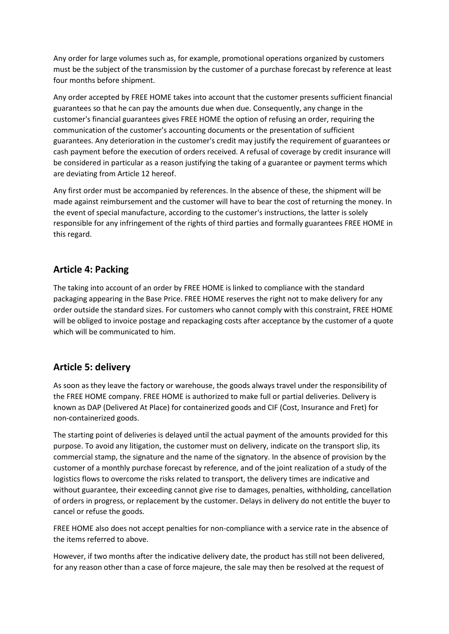Any order for large volumes such as, for example, promotional operations organized by customers must be the subject of the transmission by the customer of a purchase forecast by reference at least four months before shipment.

Any order accepted by FREE HOME takes into account that the customer presents sufficient financial guarantees so that he can pay the amounts due when due. Consequently, any change in the customer's financial guarantees gives FREE HOME the option of refusing an order, requiring the communication of the customer's accounting documents or the presentation of sufficient guarantees. Any deterioration in the customer's credit may justify the requirement of guarantees or cash payment before the execution of orders received. A refusal of coverage by credit insurance will be considered in particular as a reason justifying the taking of a guarantee or payment terms which are deviating from Article 12 hereof.

Any first order must be accompanied by references. In the absence of these, the shipment will be made against reimbursement and the customer will have to bear the cost of returning the money. In the event of special manufacture, according to the customer's instructions, the latter is solely responsible for any infringement of the rights of third parties and formally guarantees FREE HOME in this regard.

### **Article 4: Packing**

The taking into account of an order by FREE HOME is linked to compliance with the standard packaging appearing in the Base Price. FREE HOME reserves the right not to make delivery for any order outside the standard sizes. For customers who cannot comply with this constraint, FREE HOME will be obliged to invoice postage and repackaging costs after acceptance by the customer of a quote which will be communicated to him.

# **Article 5: delivery**

As soon as they leave the factory or warehouse, the goods always travel under the responsibility of the FREE HOME company. FREE HOME is authorized to make full or partial deliveries. Delivery is known as DAP (Delivered At Place) for containerized goods and CIF (Cost, Insurance and Fret) for non-containerized goods.

The starting point of deliveries is delayed until the actual payment of the amounts provided for this purpose. To avoid any litigation, the customer must on delivery, indicate on the transport slip, its commercial stamp, the signature and the name of the signatory. In the absence of provision by the customer of a monthly purchase forecast by reference, and of the joint realization of a study of the logistics flows to overcome the risks related to transport, the delivery times are indicative and without guarantee, their exceeding cannot give rise to damages, penalties, withholding, cancellation of orders in progress, or replacement by the customer. Delays in delivery do not entitle the buyer to cancel or refuse the goods.

FREE HOME also does not accept penalties for non-compliance with a service rate in the absence of the items referred to above.

However, if two months after the indicative delivery date, the product has still not been delivered, for any reason other than a case of force majeure, the sale may then be resolved at the request of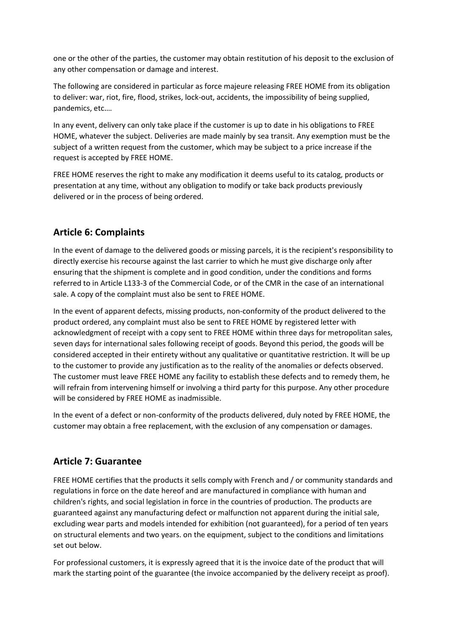one or the other of the parties, the customer may obtain restitution of his deposit to the exclusion of any other compensation or damage and interest.

The following are considered in particular as force majeure releasing FREE HOME from its obligation to deliver: war, riot, fire, flood, strikes, lock-out, accidents, the impossibility of being supplied, pandemics, etc.…

In any event, delivery can only take place if the customer is up to date in his obligations to FREE HOME, whatever the subject. Deliveries are made mainly by sea transit. Any exemption must be the subject of a written request from the customer, which may be subject to a price increase if the request is accepted by FREE HOME.

FREE HOME reserves the right to make any modification it deems useful to its catalog, products or presentation at any time, without any obligation to modify or take back products previously delivered or in the process of being ordered.

### **Article 6: Complaints**

In the event of damage to the delivered goods or missing parcels, it is the recipient's responsibility to directly exercise his recourse against the last carrier to which he must give discharge only after ensuring that the shipment is complete and in good condition, under the conditions and forms referred to in Article L133-3 of the Commercial Code, or of the CMR in the case of an international sale. A copy of the complaint must also be sent to FREE HOME.

In the event of apparent defects, missing products, non-conformity of the product delivered to the product ordered, any complaint must also be sent to FREE HOME by registered letter with acknowledgment of receipt with a copy sent to FREE HOME within three days for metropolitan sales, seven days for international sales following receipt of goods. Beyond this period, the goods will be considered accepted in their entirety without any qualitative or quantitative restriction. It will be up to the customer to provide any justification as to the reality of the anomalies or defects observed. The customer must leave FREE HOME any facility to establish these defects and to remedy them, he will refrain from intervening himself or involving a third party for this purpose. Any other procedure will be considered by FREE HOME as inadmissible.

In the event of a defect or non-conformity of the products delivered, duly noted by FREE HOME, the customer may obtain a free replacement, with the exclusion of any compensation or damages.

# **Article 7: Guarantee**

FREE HOME certifies that the products it sells comply with French and / or community standards and regulations in force on the date hereof and are manufactured in compliance with human and children's rights, and social legislation in force in the countries of production. The products are guaranteed against any manufacturing defect or malfunction not apparent during the initial sale, excluding wear parts and models intended for exhibition (not guaranteed), for a period of ten years on structural elements and two years. on the equipment, subject to the conditions and limitations set out below.

For professional customers, it is expressly agreed that it is the invoice date of the product that will mark the starting point of the guarantee (the invoice accompanied by the delivery receipt as proof).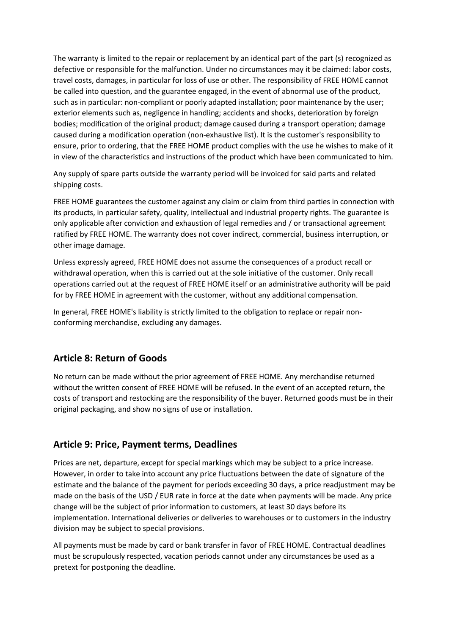The warranty is limited to the repair or replacement by an identical part of the part (s) recognized as defective or responsible for the malfunction. Under no circumstances may it be claimed: labor costs, travel costs, damages, in particular for loss of use or other. The responsibility of FREE HOME cannot be called into question, and the guarantee engaged, in the event of abnormal use of the product, such as in particular: non-compliant or poorly adapted installation; poor maintenance by the user; exterior elements such as, negligence in handling; accidents and shocks, deterioration by foreign bodies; modification of the original product; damage caused during a transport operation; damage caused during a modification operation (non-exhaustive list). It is the customer's responsibility to ensure, prior to ordering, that the FREE HOME product complies with the use he wishes to make of it in view of the characteristics and instructions of the product which have been communicated to him.

Any supply of spare parts outside the warranty period will be invoiced for said parts and related shipping costs.

FREE HOME guarantees the customer against any claim or claim from third parties in connection with its products, in particular safety, quality, intellectual and industrial property rights. The guarantee is only applicable after conviction and exhaustion of legal remedies and / or transactional agreement ratified by FREE HOME. The warranty does not cover indirect, commercial, business interruption, or other image damage.

Unless expressly agreed, FREE HOME does not assume the consequences of a product recall or withdrawal operation, when this is carried out at the sole initiative of the customer. Only recall operations carried out at the request of FREE HOME itself or an administrative authority will be paid for by FREE HOME in agreement with the customer, without any additional compensation.

In general, FREE HOME's liability is strictly limited to the obligation to replace or repair nonconforming merchandise, excluding any damages.

# **Article 8: Return of Goods**

No return can be made without the prior agreement of FREE HOME. Any merchandise returned without the written consent of FREE HOME will be refused. In the event of an accepted return, the costs of transport and restocking are the responsibility of the buyer. Returned goods must be in their original packaging, and show no signs of use or installation.

#### **Article 9: Price, Payment terms, Deadlines**

Prices are net, departure, except for special markings which may be subject to a price increase. However, in order to take into account any price fluctuations between the date of signature of the estimate and the balance of the payment for periods exceeding 30 days, a price readjustment may be made on the basis of the USD / EUR rate in force at the date when payments will be made. Any price change will be the subject of prior information to customers, at least 30 days before its implementation. International deliveries or deliveries to warehouses or to customers in the industry division may be subject to special provisions.

All payments must be made by card or bank transfer in favor of FREE HOME. Contractual deadlines must be scrupulously respected, vacation periods cannot under any circumstances be used as a pretext for postponing the deadline.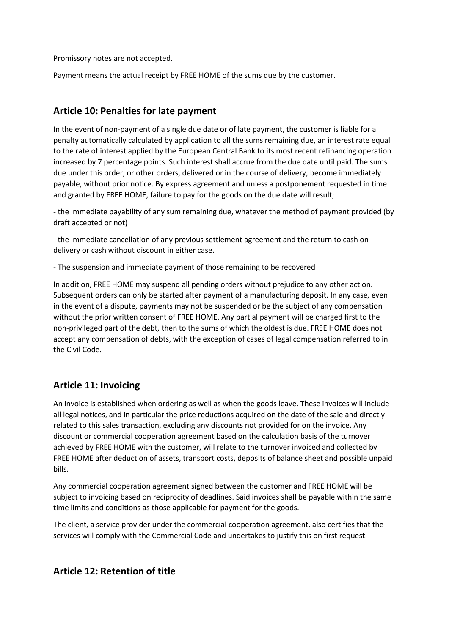Promissory notes are not accepted.

Payment means the actual receipt by FREE HOME of the sums due by the customer.

### **Article 10: Penalties for late payment**

In the event of non-payment of a single due date or of late payment, the customer is liable for a penalty automatically calculated by application to all the sums remaining due, an interest rate equal to the rate of interest applied by the European Central Bank to its most recent refinancing operation increased by 7 percentage points. Such interest shall accrue from the due date until paid. The sums due under this order, or other orders, delivered or in the course of delivery, become immediately payable, without prior notice. By express agreement and unless a postponement requested in time and granted by FREE HOME, failure to pay for the goods on the due date will result;

- the immediate payability of any sum remaining due, whatever the method of payment provided (by draft accepted or not)

- the immediate cancellation of any previous settlement agreement and the return to cash on delivery or cash without discount in either case.

- The suspension and immediate payment of those remaining to be recovered

In addition, FREE HOME may suspend all pending orders without prejudice to any other action. Subsequent orders can only be started after payment of a manufacturing deposit. In any case, even in the event of a dispute, payments may not be suspended or be the subject of any compensation without the prior written consent of FREE HOME. Any partial payment will be charged first to the non-privileged part of the debt, then to the sums of which the oldest is due. FREE HOME does not accept any compensation of debts, with the exception of cases of legal compensation referred to in the Civil Code.

#### **Article 11: Invoicing**

An invoice is established when ordering as well as when the goods leave. These invoices will include all legal notices, and in particular the price reductions acquired on the date of the sale and directly related to this sales transaction, excluding any discounts not provided for on the invoice. Any discount or commercial cooperation agreement based on the calculation basis of the turnover achieved by FREE HOME with the customer, will relate to the turnover invoiced and collected by FREE HOME after deduction of assets, transport costs, deposits of balance sheet and possible unpaid bills.

Any commercial cooperation agreement signed between the customer and FREE HOME will be subject to invoicing based on reciprocity of deadlines. Said invoices shall be payable within the same time limits and conditions as those applicable for payment for the goods.

The client, a service provider under the commercial cooperation agreement, also certifies that the services will comply with the Commercial Code and undertakes to justify this on first request.

#### **Article 12: Retention of title**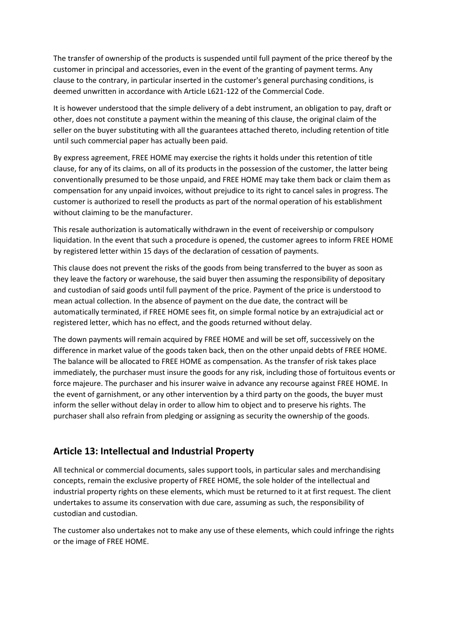The transfer of ownership of the products is suspended until full payment of the price thereof by the customer in principal and accessories, even in the event of the granting of payment terms. Any clause to the contrary, in particular inserted in the customer's general purchasing conditions, is deemed unwritten in accordance with Article L621-122 of the Commercial Code.

It is however understood that the simple delivery of a debt instrument, an obligation to pay, draft or other, does not constitute a payment within the meaning of this clause, the original claim of the seller on the buyer substituting with all the guarantees attached thereto, including retention of title until such commercial paper has actually been paid.

By express agreement, FREE HOME may exercise the rights it holds under this retention of title clause, for any of its claims, on all of its products in the possession of the customer, the latter being conventionally presumed to be those unpaid, and FREE HOME may take them back or claim them as compensation for any unpaid invoices, without prejudice to its right to cancel sales in progress. The customer is authorized to resell the products as part of the normal operation of his establishment without claiming to be the manufacturer.

This resale authorization is automatically withdrawn in the event of receivership or compulsory liquidation. In the event that such a procedure is opened, the customer agrees to inform FREE HOME by registered letter within 15 days of the declaration of cessation of payments.

This clause does not prevent the risks of the goods from being transferred to the buyer as soon as they leave the factory or warehouse, the said buyer then assuming the responsibility of depositary and custodian of said goods until full payment of the price. Payment of the price is understood to mean actual collection. In the absence of payment on the due date, the contract will be automatically terminated, if FREE HOME sees fit, on simple formal notice by an extrajudicial act or registered letter, which has no effect, and the goods returned without delay.

The down payments will remain acquired by FREE HOME and will be set off, successively on the difference in market value of the goods taken back, then on the other unpaid debts of FREE HOME. The balance will be allocated to FREE HOME as compensation. As the transfer of risk takes place immediately, the purchaser must insure the goods for any risk, including those of fortuitous events or force majeure. The purchaser and his insurer waive in advance any recourse against FREE HOME. In the event of garnishment, or any other intervention by a third party on the goods, the buyer must inform the seller without delay in order to allow him to object and to preserve his rights. The purchaser shall also refrain from pledging or assigning as security the ownership of the goods.

#### **Article 13: Intellectual and Industrial Property**

All technical or commercial documents, sales support tools, in particular sales and merchandising concepts, remain the exclusive property of FREE HOME, the sole holder of the intellectual and industrial property rights on these elements, which must be returned to it at first request. The client undertakes to assume its conservation with due care, assuming as such, the responsibility of custodian and custodian.

The customer also undertakes not to make any use of these elements, which could infringe the rights or the image of FREE HOME.